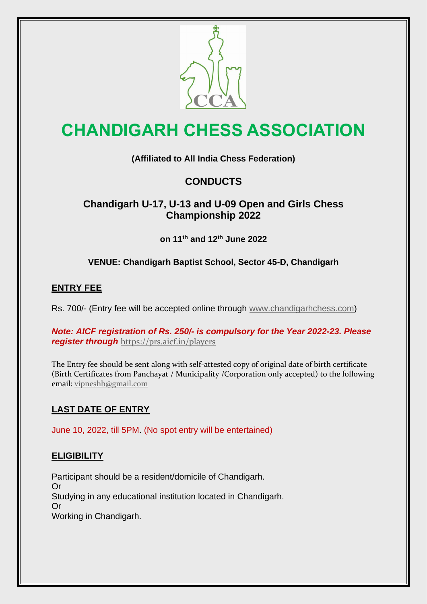

# **CHANDIGARH CHESS ASSOCIATION**

### **(Affiliated to All India Chess Federation)**

## **CONDUCTS**

### **Chandigarh U-17, U-13 and U-09 Open and Girls Chess Championship 2022**

**on 11th and 12th June 2022**

#### **VENUE: Chandigarh Baptist School, Sector 45-D, Chandigarh**

#### **ENTRY FEE**

Rs. 700/- (Entry fee will be accepted online through [www.chandigarhchess.com\)](http://www.chandigarhchess.com/)

*Note: AICF registration of Rs. 250/- is compulsory for the Year 2022-23. Please register through* <https://prs.aicf.in/players>

The Entry fee should be sent along with self-attested copy of original date of birth certificate (Birth Certificates from Panchayat / Municipality /Corporation only accepted) to the following email: [vipneshb@gmail.com](mailto:vipneshb@gmail.com)

#### **LAST DATE OF ENTRY**

June 10, 2022, till 5PM. (No spot entry will be entertained)

#### **ELIGIBILITY**

Participant should be a resident/domicile of Chandigarh. Or Studying in any educational institution located in Chandigarh. Or Working in Chandigarh.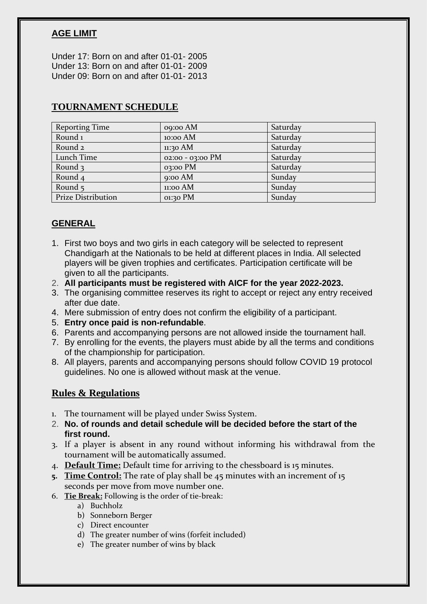#### **AGE LIMIT**

Under 17: Born on and after 01-01- 2005 Under 13: Born on and after 01-01- 2009 Under 09: Born on and after 01-01- 2013

| <b>Reporting Time</b>     | o9:00 AM         | Saturday |
|---------------------------|------------------|----------|
| Round <sub>1</sub>        | 10:00 AM         | Saturday |
| Round <sub>2</sub>        | $11:30$ AM       | Saturday |
| Lunch Time                | 02:00 - 03:00 PM | Saturday |
| Round $\overline{3}$      | $03:00$ PM       | Saturday |
| Round <sub>4</sub>        | $9:00$ AM        | Sunday   |
| Round $5$                 | $11:00$ AM       | Sunday   |
| <b>Prize Distribution</b> | 01:30 PM         | Sunday   |

#### **TOURNAMENT SCHEDULE**

#### **GENERAL**

- 1. First two boys and two girls in each category will be selected to represent Chandigarh at the Nationals to be held at different places in India. All selected players will be given trophies and certificates. Participation certificate will be given to all the participants.
- 2. **All participants must be registered with AICF for the year 2022-2023.**
- 3. The organising committee reserves its right to accept or reject any entry received after due date.
- 4. Mere submission of entry does not confirm the eligibility of a participant.
- 5. **Entry once paid is non-refundable**.
- 6. Parents and accompanying persons are not allowed inside the tournament hall.
- 7. By enrolling for the events, the players must abide by all the terms and conditions of the championship for participation.
- 8. All players, parents and accompanying persons should follow COVID 19 protocol guidelines. No one is allowed without mask at the venue.

#### **Rules & Regulations**

- 1. The tournament will be played under Swiss System.
- 2. **No. of rounds and detail schedule will be decided before the start of the first round.**
- 3. If a player is absent in any round without informing his withdrawal from the tournament will be automatically assumed.
- 4. **Default Time:** Default time for arriving to the chessboard is 15 minutes.
- **5. Time Control:** The rate of play shall be 45 minutes with an increment of 15 seconds per move from move number one.
- 6. **Tie Break:** Following is the order of tie-break:
	- a) Buchholz
	- b) Sonneborn Berger
	- c) Direct encounter
	- d) The greater number of wins (forfeit included)
	- e) The greater number of wins by black